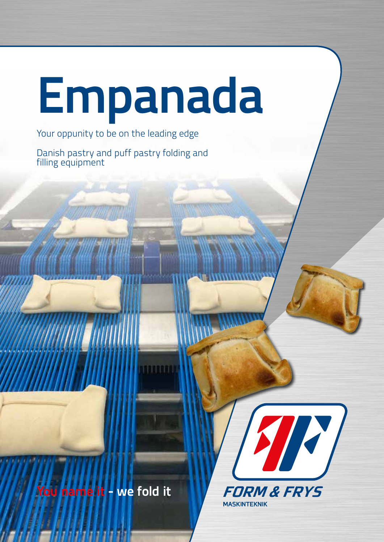## **Empanada**

Your oppunity to be on the leading edge

Danish pastry and puff pastry folding and filling equipment

**You name it - we fold it**

Walio dili